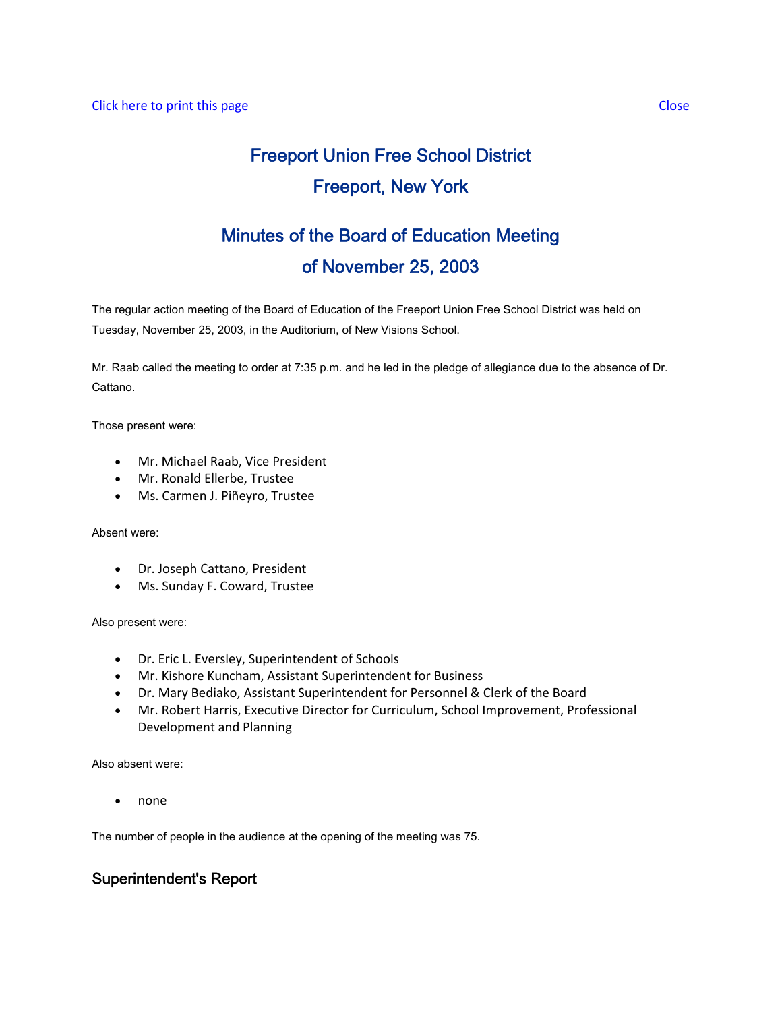# Freeport Union Free School District Freeport, New York

# Minutes of the Board of Education Meeting of November 25, 2003

The regular action meeting of the Board of Education of the Freeport Union Free School District was held on Tuesday, November 25, 2003, in the Auditorium, of New Visions School.

Mr. Raab called the meeting to order at 7:35 p.m. and he led in the pledge of allegiance due to the absence of Dr. Cattano.

Those present were:

- Mr. Michael Raab, Vice President
- Mr. Ronald Ellerbe, Trustee
- Ms. Carmen J. Piñeyro, Trustee

Absent were:

- Dr. Joseph Cattano, President
- Ms. Sunday F. Coward, Trustee

Also present were:

- Dr. Eric L. Eversley, Superintendent of Schools
- Mr. Kishore Kuncham, Assistant Superintendent for Business
- Dr. Mary Bediako, Assistant Superintendent for Personnel & Clerk of the Board
- Mr. Robert Harris, Executive Director for Curriculum, School Improvement, Professional Development and Planning

Also absent were:

• none

The number of people in the audience at the opening of the meeting was 75.

# Superintendent's Report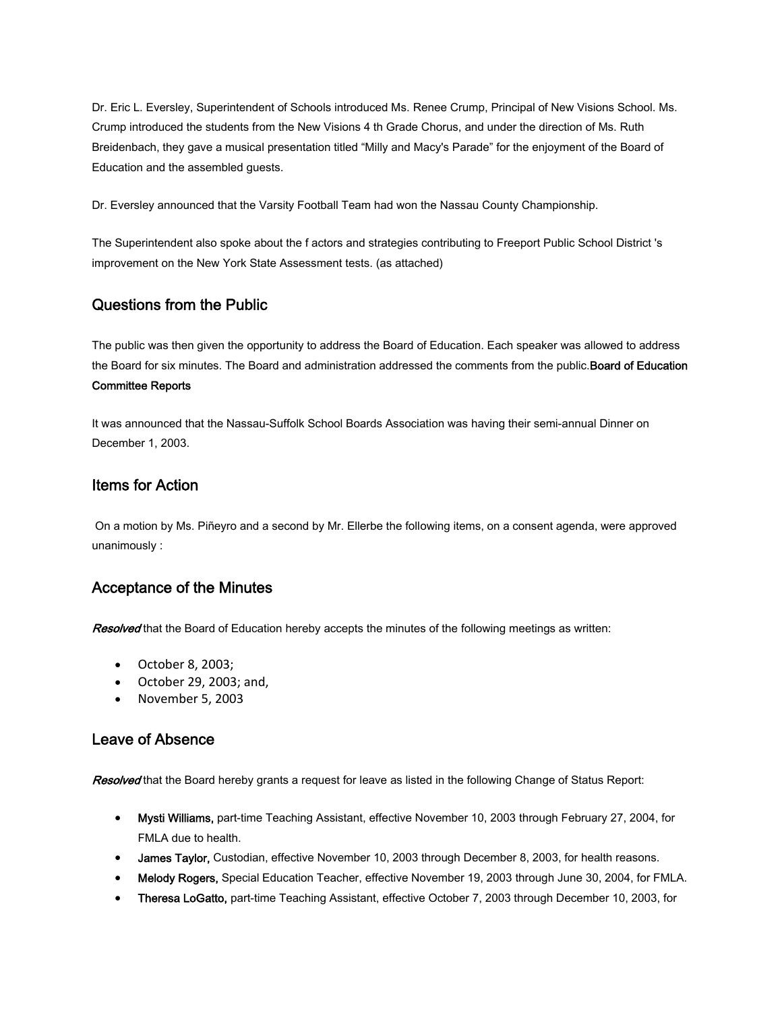Dr. Eric L. Eversley, Superintendent of Schools introduced Ms. Renee Crump, Principal of New Visions School. Ms. Crump introduced the students from the New Visions 4 th Grade Chorus, and under the direction of Ms. Ruth Breidenbach, they gave a musical presentation titled "Milly and Macy's Parade" for the enjoyment of the Board of Education and the assembled guests.

Dr. Eversley announced that the Varsity Football Team had won the Nassau County Championship.

The Superintendent also spoke about the f actors and strategies contributing to Freeport Public School District 's improvement on the New York State Assessment tests. (as attached)

## Questions from the Public

The public was then given the opportunity to address the Board of Education. Each speaker was allowed to address the Board for six minutes. The Board and administration addressed the comments from the public. Board of Education Committee Reports

It was announced that the Nassau-Suffolk School Boards Association was having their semi-annual Dinner on December 1, 2003.

## Items for Action

 On a motion by Ms. Piñeyro and a second by Mr. Ellerbe the following items, on a consent agenda, were approved unanimously :

# Acceptance of the Minutes

Resolved that the Board of Education hereby accepts the minutes of the following meetings as written:

- October 8, 2003;
- October 29, 2003; and,
- November 5, 2003

### Leave of Absence

Resolved that the Board hereby grants a request for leave as listed in the following Change of Status Report:

- Mysti Williams, part-time Teaching Assistant, effective November 10, 2003 through February 27, 2004, for FMLA due to health.
- James Taylor, Custodian, effective November 10, 2003 through December 8, 2003, for health reasons.
- Melody Rogers, Special Education Teacher, effective November 19, 2003 through June 30, 2004, for FMLA.
- Theresa LoGatto, part-time Teaching Assistant, effective October 7, 2003 through December 10, 2003, for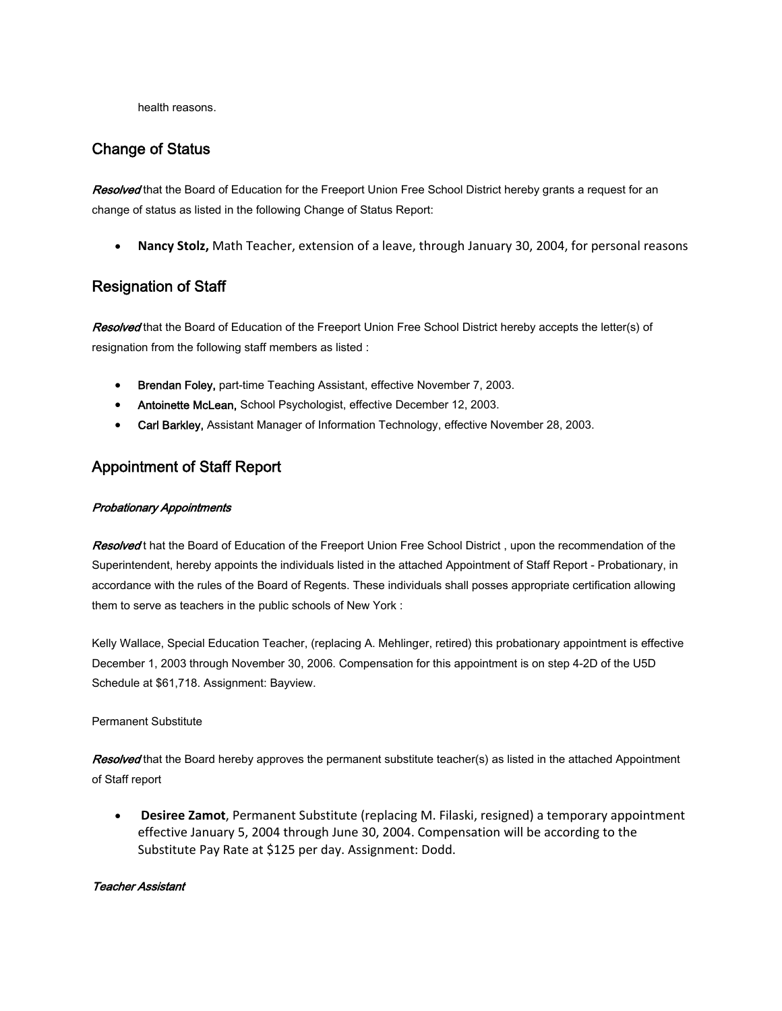health reasons.

### Change of Status

Resolved that the Board of Education for the Freeport Union Free School District hereby grants a request for an change of status as listed in the following Change of Status Report:

• **Nancy Stolz,** Math Teacher, extension of a leave, through January 30, 2004, for personal reasons

# Resignation of Staff

Resolved that the Board of Education of the Freeport Union Free School District hereby accepts the letter(s) of resignation from the following staff members as listed :

- Brendan Foley, part-time Teaching Assistant, effective November 7, 2003.
- Antoinette McLean, School Psychologist, effective December 12, 2003.
- Carl Barkley, Assistant Manager of Information Technology, effective November 28, 2003.

# Appointment of Staff Report

#### Probationary Appointments

Resolved t hat the Board of Education of the Freeport Union Free School District, upon the recommendation of the Superintendent, hereby appoints the individuals listed in the attached Appointment of Staff Report - Probationary, in accordance with the rules of the Board of Regents. These individuals shall posses appropriate certification allowing them to serve as teachers in the public schools of New York :

Kelly Wallace, Special Education Teacher, (replacing A. Mehlinger, retired) this probationary appointment is effective December 1, 2003 through November 30, 2006. Compensation for this appointment is on step 4-2D of the U5D Schedule at \$61,718. Assignment: Bayview.

#### Permanent Substitute

Resolved that the Board hereby approves the permanent substitute teacher(s) as listed in the attached Appointment of Staff report

• **Desiree Zamot**, Permanent Substitute (replacing M. Filaski, resigned) a temporary appointment effective January 5, 2004 through June 30, 2004. Compensation will be according to the Substitute Pay Rate at \$125 per day. Assignment: Dodd.

#### Teacher Assistant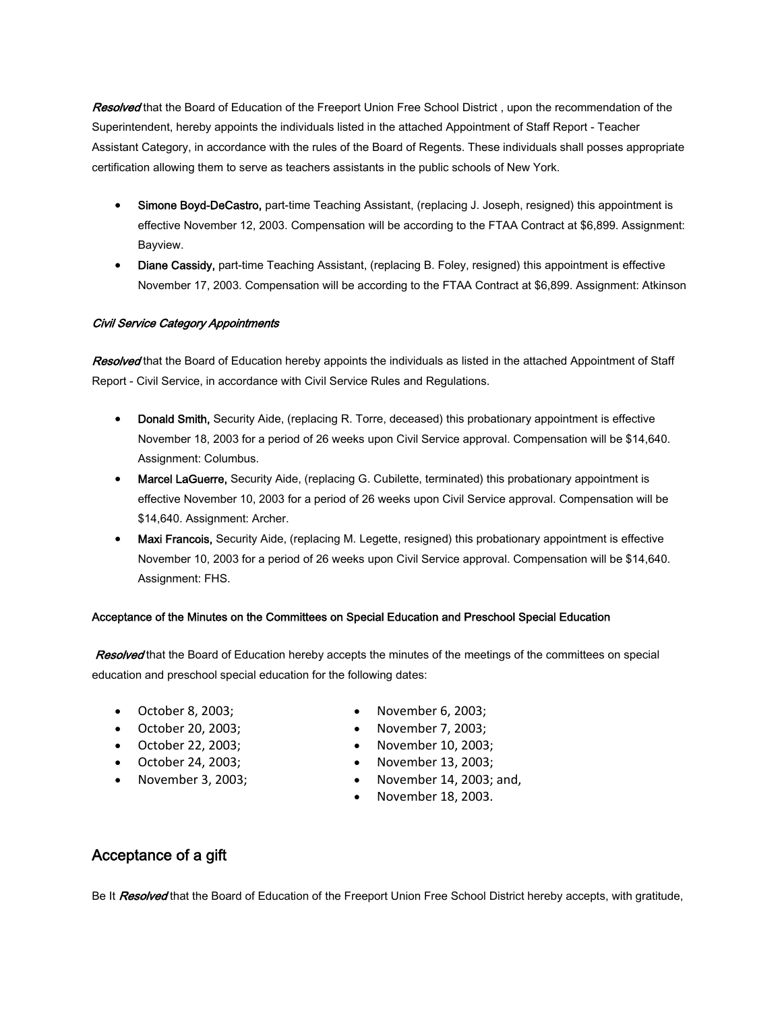Resolved that the Board of Education of the Freeport Union Free School District, upon the recommendation of the Superintendent, hereby appoints the individuals listed in the attached Appointment of Staff Report - Teacher Assistant Category, in accordance with the rules of the Board of Regents. These individuals shall posses appropriate certification allowing them to serve as teachers assistants in the public schools of New York.

- Simone Boyd-DeCastro, part-time Teaching Assistant, (replacing J. Joseph, resigned) this appointment is effective November 12, 2003. Compensation will be according to the FTAA Contract at \$6,899. Assignment: Bayview.
- Diane Cassidy, part-time Teaching Assistant, (replacing B. Foley, resigned) this appointment is effective November 17, 2003. Compensation will be according to the FTAA Contract at \$6,899. Assignment: Atkinson

#### Civil Service Category Appointments

Resolved that the Board of Education hereby appoints the individuals as listed in the attached Appointment of Staff Report - Civil Service, in accordance with Civil Service Rules and Regulations.

- Donald Smith, Security Aide, (replacing R. Torre, deceased) this probationary appointment is effective November 18, 2003 for a period of 26 weeks upon Civil Service approval. Compensation will be \$14,640. Assignment: Columbus.
- Marcel LaGuerre, Security Aide, (replacing G. Cubilette, terminated) this probationary appointment is effective November 10, 2003 for a period of 26 weeks upon Civil Service approval. Compensation will be \$14,640. Assignment: Archer.
- Maxi Francois, Security Aide, (replacing M. Legette, resigned) this probationary appointment is effective November 10, 2003 for a period of 26 weeks upon Civil Service approval. Compensation will be \$14,640. Assignment: FHS.

#### Acceptance of the Minutes on the Committees on Special Education and Preschool Special Education

Resolved that the Board of Education hereby accepts the minutes of the meetings of the committees on special education and preschool special education for the following dates:

- October 8, 2003;
- October 20, 2003;
- October 22, 2003;
- October 24, 2003;
- November 3, 2003;
- November 6, 2003;
- November 7, 2003;
- November 10, 2003;
- November 13, 2003;
- November 14, 2003; and,
- November 18, 2003.

# Acceptance of a gift

Be It **Resolved** that the Board of Education of the Freeport Union Free School District hereby accepts, with gratitude,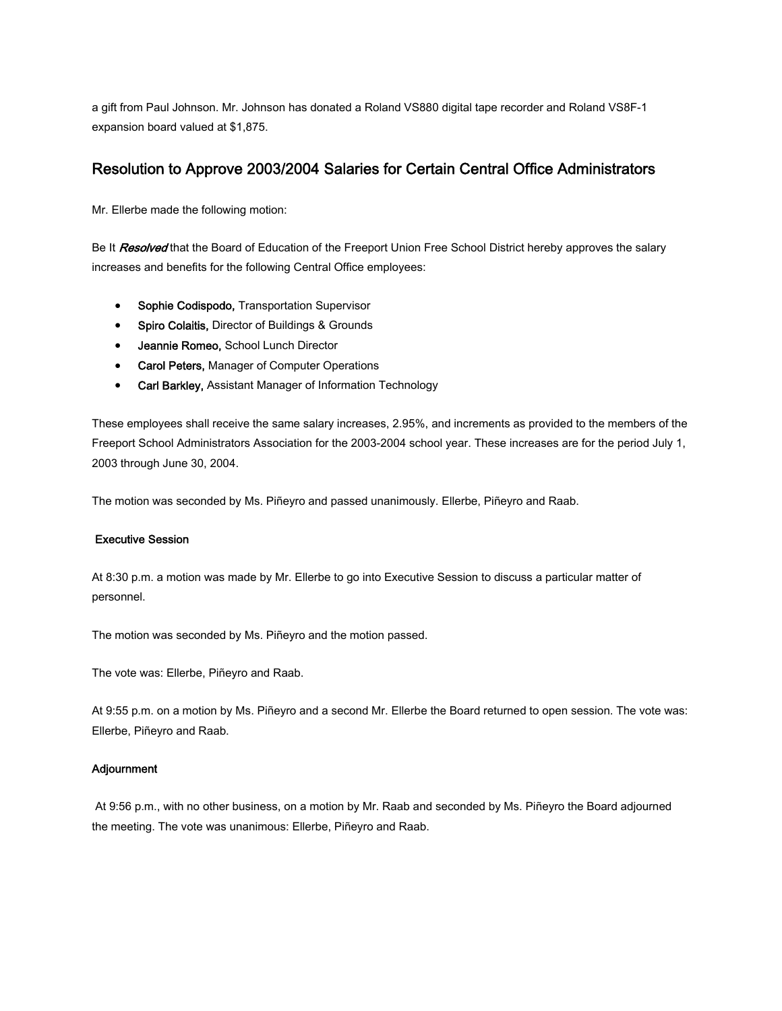a gift from Paul Johnson. Mr. Johnson has donated a Roland VS880 digital tape recorder and Roland VS8F-1 expansion board valued at \$1,875.

## Resolution to Approve 2003/2004 Salaries for Certain Central Office Administrators

Mr. Ellerbe made the following motion:

Be It Resolved that the Board of Education of the Freeport Union Free School District hereby approves the salary increases and benefits for the following Central Office employees:

- Sophie Codispodo, Transportation Supervisor
- Spiro Colaitis, Director of Buildings & Grounds
- Jeannie Romeo, School Lunch Director
- Carol Peters, Manager of Computer Operations
- Carl Barkley, Assistant Manager of Information Technology

These employees shall receive the same salary increases, 2.95%, and increments as provided to the members of the Freeport School Administrators Association for the 2003-2004 school year. These increases are for the period July 1, 2003 through June 30, 2004.

The motion was seconded by Ms. Piñeyro and passed unanimously. Ellerbe, Piñeyro and Raab.

#### Executive Session

At 8:30 p.m. a motion was made by Mr. Ellerbe to go into Executive Session to discuss a particular matter of personnel.

The motion was seconded by Ms. Piñeyro and the motion passed.

The vote was: Ellerbe, Piñeyro and Raab.

At 9:55 p.m. on a motion by Ms. Piñeyro and a second Mr. Ellerbe the Board returned to open session. The vote was: Ellerbe, Piñeyro and Raab.

#### **Adjournment**

 At 9:56 p.m., with no other business, on a motion by Mr. Raab and seconded by Ms. Piñeyro the Board adjourned the meeting. The vote was unanimous: Ellerbe, Piñeyro and Raab.